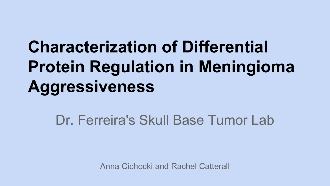## **Characterization of Differential Protein Regulation in Meningioma Aggressiveness**

#### Dr. Ferreira's Skull Base Tumor Lab

Anna Cichocki and Rachel Catterall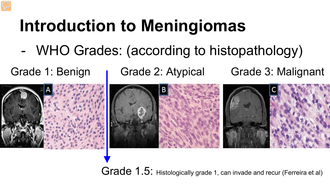## **Introduction to Meningiomas**

- WHO Grades: (according to histopathology)

Grade 1: Benign **I** Grade 2: Atypical Grade 3: Malignant



Grade 1.5: Histologically grade 1, can invade and recur (Ferreira et al)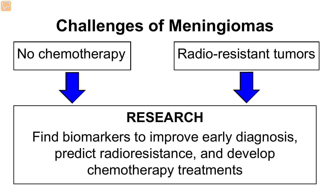## **Challenges of Meningiomas**

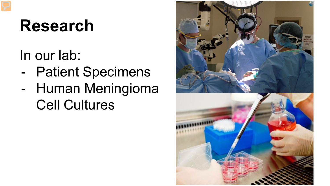### **Research**

In our lab:

- Patient Specimens - Human Meningioma Cell Cultures

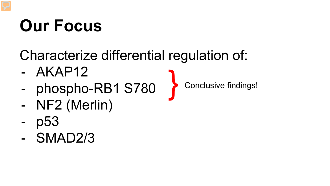## **Our Focus**

#### Characterize differential regulation of:

- AKAP12
- phospho-RB1 S780
- NF2 (Merlin)
- p<sub>53</sub>
- SMAD2/3

Conclusive findings!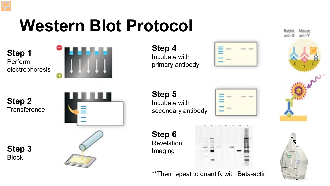## **Western Blot Protocol**

**Step 1** Perform electrophoresis



**Step 4** Incubate with primary antibody



**Step 2 Transference** 

> **Step 3 Block**



**Step 5** Incubate with secondary antibody

**Step 6** Revelation

Imaging

|                                             |         | ٠ |
|---------------------------------------------|---------|---|
| ÷                                           | y.<br>۰ |   |
|                                             |         |   |
|                                             |         |   |
|                                             |         |   |
|                                             |         |   |
| ٠<br><b>CONTRACTOR</b><br>$\sim$ 0.00 $\pm$ |         |   |



\*\*Then repeat to quantify with Beta-actin

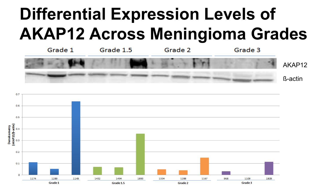## **Differential Expression Levels of AKAP12 Across Meningioma Grades**



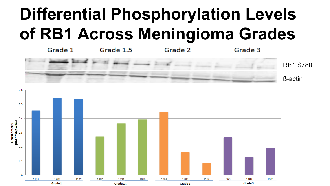## **Differential Phosphorylation Levels of RB1 Across Meningioma Grades**



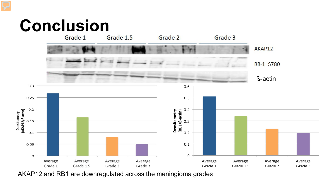# Conclusion



AKAP12 and RB1 are downregulated across the meningioma grades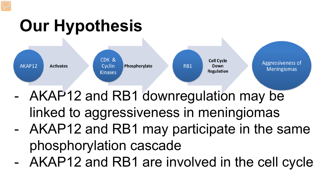## **Our Hypothesis**



- AKAP12 and RB1 downregulation may be linked to aggressiveness in meningiomas - AKAP12 and RB1 may participate in the same
- phosphorylation cascade - AKAP12 and RB1 are involved in the cell cycle